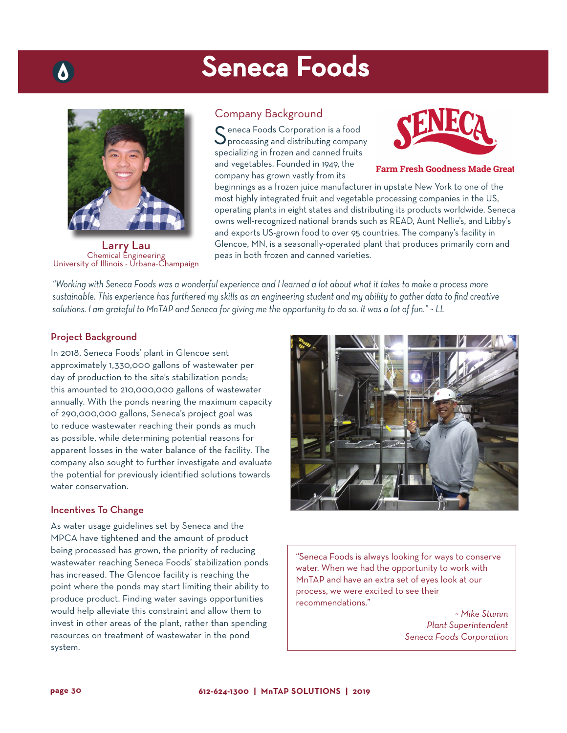# Seneca Foods



**Larry Lau**<br>Chemical Engineering University of Illinois - Urbana-Champaign

# Company Background

Seneca Foods Corporation is a food<br>Sprocessing and distributing company specializing in frozen and canned fruits and vegetables. Founded in 1949, the company has grown vastly from its



**Farm Fresh Goodness Made Great** 

beginnings as a frozen juice manufacturer in upstate New York to one of the most highly integrated fruit and vegetable processing companies in the US, operating plants in eight states and distributing its products worldwide. Seneca owns well-recognized national brands such as READ, Aunt Nellie's, and Libby's and exports US-grown food to over 95 countries. The company's facility in Glencoe, MN, is a seasonally-operated plant that produces primarily corn and peas in both frozen and canned varieties.

*"Working with Seneca Foods was a wonderful experience and I learned a lot about what it takes to make a process more sustainable. This experience has furthered my skills as an engineering student and my ability to gather data to find creative solutions. I am grateful to MnTAP and Seneca for giving me the opportunity to do so. It was a lot of fun." ~ LL*

# Project Background

In 2018, Seneca Foods' plant in Glencoe sent approximately 1,330,000 gallons of wastewater per day of production to the site's stabilization ponds; this amounted to 210,000,000 gallons of wastewater annually. With the ponds nearing the maximum capacity of 290,000,000 gallons, Seneca's project goal was to reduce wastewater reaching their ponds as much as possible, while determining potential reasons for apparent losses in the water balance of the facility. The company also sought to further investigate and evaluate the potential for previously identified solutions towards water conservation

#### Incentives To Change

As water usage guidelines set by Seneca and the MPCA have tightened and the amount of product being processed has grown, the priority of reducing wastewater reaching Seneca Foods' stabilization ponds has increased. The Glencoe facility is reaching the point where the ponds may start limiting their ability to produce product. Finding water savings opportunities would help alleviate this constraint and allow them to invest in other areas of the plant, rather than spending resources on treatment of wastewater in the pond system.



"Seneca Foods is always looking for ways to conserve water. When we had the opportunity to work with MnTAP and have an extra set of eyes look at our process, we were excited to see their recommendations."

> ~ *Mike Stumm Plant Superintendent Seneca Foods Corporation*